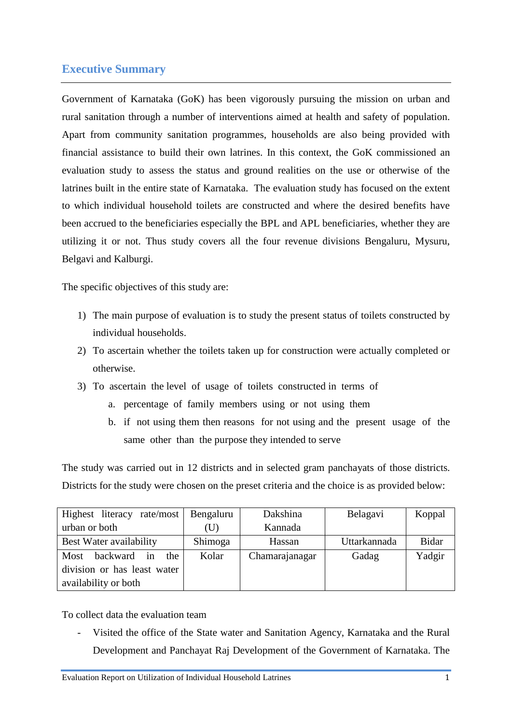## **Executive Summary**

Government of Karnataka (GoK) has been vigorously pursuing the mission on urban and rural sanitation through a number of interventions aimed at health and safety of population. Apart from community sanitation programmes, households are also being provided with financial assistance to build their own latrines. In this context, the GoK commissioned an evaluation study to assess the status and ground realities on the use or otherwise of the latrines built in the entire state of Karnataka. The evaluation study has focused on the extent to which individual household toilets are constructed and where the desired benefits have been accrued to the beneficiaries especially the BPL and APL beneficiaries, whether they are utilizing it or not. Thus study covers all the four revenue divisions Bengaluru, Mysuru, Belgavi and Kalburgi.

The specific objectives of this study are:

- 1) The main purpose of evaluation is to study the present status of toilets constructed by individual households.
- 2) To ascertain whether the toilets taken up for construction were actually completed or otherwise.
- 3) To ascertain the level of usage of toilets constructed in terms of
	- a. percentage of family members using or not using them
	- b. if not using them then reasons for not using and the present usage of the same other than the purpose they intended to serve

The study was carried out in 12 districts and in selected gram panchayats of those districts. Districts for the study were chosen on the preset criteria and the choice is as provided below:

| Highest literacy rate/most    | Bengaluru | Dakshina       | Belagavi     | Koppal       |
|-------------------------------|-----------|----------------|--------------|--------------|
| urban or both                 | (U)       | Kannada        |              |              |
| Best Water availability       | Shimoga   | Hassan         | Uttarkannada | <b>Bidar</b> |
| backward<br>Most<br>the<br>in | Kolar     | Chamarajanagar | Gadag        | Yadgir       |
| division or has least water   |           |                |              |              |
| availability or both          |           |                |              |              |

To collect data the evaluation team

Visited the office of the State water and Sanitation Agency, Karnataka and the Rural Development and Panchayat Raj Development of the Government of Karnataka. The